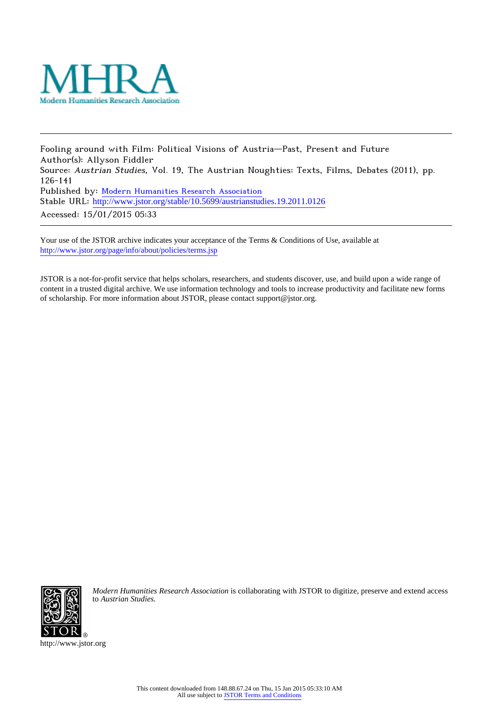

Fooling around with Film: Political Visions of Austria—Past, Present and Future Author(s): Allyson Fiddler Source: Austrian Studies, Vol. 19, The Austrian Noughties: Texts, Films, Debates (2011), pp. 126-141 Published by: [Modern Humanities Research Association](http://www.jstor.org/action/showPublisher?publisherCode=mhra) Stable URL: [http://www.jstor.org/stable/10.5699/austrianstudies.19.2011.0126](http://www.jstor.org/stable/10.5699/austrianstudies.19.2011.0126?origin=JSTOR-pdf) Accessed: 15/01/2015 05:33

Your use of the JSTOR archive indicates your acceptance of the Terms & Conditions of Use, available at <http://www.jstor.org/page/info/about/policies/terms.jsp>

JSTOR is a not-for-profit service that helps scholars, researchers, and students discover, use, and build upon a wide range of content in a trusted digital archive. We use information technology and tools to increase productivity and facilitate new forms of scholarship. For more information about JSTOR, please contact support@jstor.org.



*Modern Humanities Research Association* is collaborating with JSTOR to digitize, preserve and extend access to *Austrian Studies.*

http://www.jstor.org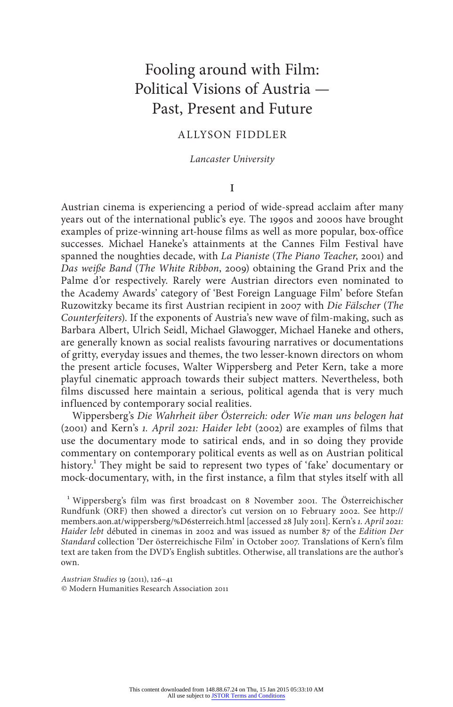# Fooling around with Film: Political Visions of Austria — Past, Present and Future

## Allyson Fiddler

*Lancaster University*

#### **I**

Austrian cinema is experiencing a period of wide-spread acclaim after many years out of the international public's eye. The 1990s and 2000s have brought examples of prize-winning art-house films as well as more popular, box-office successes. Michael Haneke's attainments at the Cannes Film Festival have spanned the noughties decade, with *La Pianiste* (*The Piano Teacher*, 2001) and *Das weiße Band* (*The White Ribbon*, 2009) obtaining the Grand Prix and the Palme d'or respectively. Rarely were Austrian directors even nominated to the Academy Awards' category of 'Best Foreign Language Film' before Stefan Ruzowitzky became its first Austrian recipient in 2007 with *Die Fälscher* (*The Counterfeiters*). If the exponents of Austria's new wave of film-making, such as Barbara Albert, Ulrich Seidl, Michael Glawogger, Michael Haneke and others, are generally known as social realists favouring narratives or documentations of gritty, everyday issues and themes, the two lesser-known directors on whom the present article focuses, Walter Wippersberg and Peter Kern, take a more playful cinematic approach towards their subject matters. Nevertheless, both films discussed here maintain a serious, political agenda that is very much influenced by contemporary social realities.

Wippersberg's *Die Wahrheit über Österreich: oder Wie man uns belogen hat* (2001) and Kern's *1. April 2021: Haider lebt* (2002) are examples of films that use the documentary mode to satirical ends, and in so doing they provide commentary on contemporary political events as well as on Austrian political history.<sup>1</sup> They might be said to represent two types of 'fake' documentary or mock-documentary, with, in the first instance, a film that styles itself with all

<sup>1</sup> Wippersberg's film was first broadcast on 8 November 2001. The Österreichischer Rundfunk (ORF) then showed a director's cut version on 10 February 2002. See http:// members.aon.at/wippersberg/%D6sterreich.html [accessed 28 July 2011]. Kern's *1. April 2021: Haider lebt* débuted in cinemas in 2002 and was issued as number 87 of the *Edition Der Standard* collection 'Der österreichische Film' in October 2007. Translations of Kern's film text are taken from the DVD's English subtitles. Otherwise, all translations are the author's own.

*Austrian Studies* 19 (2011), 126–41 © Modern Humanities Research Association 2011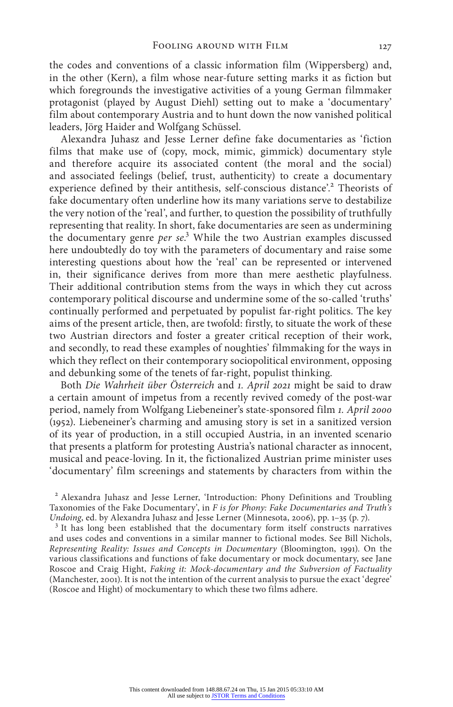the codes and conventions of a classic information film (Wippersberg) and, in the other (Kern), a film whose near-future setting marks it as fiction but which foregrounds the investigative activities of a young German filmmaker protagonist (played by August Diehl) setting out to make a 'documentary' film about contemporary Austria and to hunt down the now vanished political leaders, Jörg Haider and Wolfgang Schüssel.

Alexandra Juhasz and Jesse Lerner define fake documentaries as 'fiction films that make use of (copy, mock, mimic, gimmick) documentary style and therefore acquire its associated content (the moral and the social) and associated feelings (belief, trust, authenticity) to create a documentary experience defined by their antithesis, self-conscious distance'.<sup>2</sup> Theorists of fake documentary often underline how its many variations serve to destabilize the very notion of the 'real', and further, to question the possibility of truthfully representing that reality. In short, fake documentaries are seen as undermining the documentary genre *per se*. 3 While the two Austrian examples discussed here undoubtedly do toy with the parameters of documentary and raise some interesting questions about how the 'real' can be represented or intervened in, their significance derives from more than mere aesthetic playfulness. Their additional contribution stems from the ways in which they cut across contemporary political discourse and undermine some of the so-called 'truths' continually performed and perpetuated by populist far-right politics. The key aims of the present article, then, are twofold: firstly, to situate the work of these two Austrian directors and foster a greater critical reception of their work, and secondly, to read these examples of noughties' filmmaking for the ways in which they reflect on their contemporary sociopolitical environment, opposing and debunking some of the tenets of far-right, populist thinking.

Both *Die Wahrheit über Österreich* and *1. April 2021* might be said to draw a certain amount of impetus from a recently revived comedy of the post-war period, namely from Wolfgang Liebeneiner's state-sponsored film *1. April 2000* (1952). Liebeneiner's charming and amusing story is set in a sanitized version of its year of production, in a still occupied Austria, in an invented scenario that presents a platform for protesting Austria's national character as innocent, musical and peace-loving. In it, the fictionalized Austrian prime minister uses 'documentary' film screenings and statements by characters from within the

<sup>2</sup> Alexandra Juhasz and Jesse Lerner, 'Introduction: Phony Definitions and Troubling Taxonomies of the Fake Documentary', in *F is for Phony: Fake Documentaries and Truth's* 

<sup>3</sup> It has long been established that the documentary form itself constructs narratives and uses codes and conventions in a similar manner to fictional modes. See Bill Nichols, *Representing Reality: Issues and Concepts in Documentary* (Bloomington, 1991). On the various classifications and functions of fake documentary or mock documentary, see Jane Roscoe and Craig Hight, *Faking it: Mock-documentary and the Subversion of Factuality* (Manchester, 2001). It is not the intention of the current analysis to pursue the exact 'degree' (Roscoe and Hight) of mockumentary to which these two films adhere.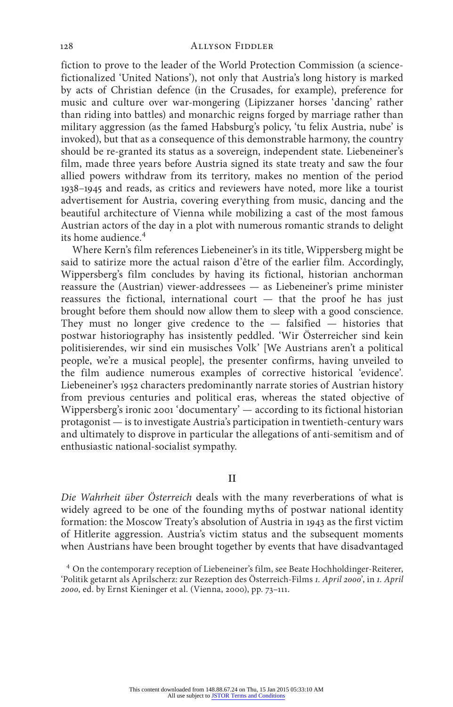fiction to prove to the leader of the World Protection Commission (a sciencefictionalized 'United Nations'), not only that Austria's long history is marked by acts of Christian defence (in the Crusades, for example), preference for music and culture over war-mongering (Lipizzaner horses 'dancing' rather than riding into battles) and monarchic reigns forged by marriage rather than military aggression (as the famed Habsburg's policy, 'tu felix Austria, nube' is invoked), but that as a consequence of this demonstrable harmony, the country should be re-granted its status as a sovereign, independent state. Liebeneiner's film, made three years before Austria signed its state treaty and saw the four allied powers withdraw from its territory, makes no mention of the period 1938–1945 and reads, as critics and reviewers have noted, more like a tourist advertisement for Austria, covering everything from music, dancing and the beautiful architecture of Vienna while mobilizing a cast of the most famous Austrian actors of the day in a plot with numerous romantic strands to delight its home audience.<sup>4</sup>

Where Kern's film references Liebeneiner's in its title, Wippersberg might be said to satirize more the actual raison d'être of the earlier film. Accordingly, Wippersberg's film concludes by having its fictional, historian anchorman reassure the (Austrian) viewer-addressees — as Liebeneiner's prime minister reassures the fictional, international court — that the proof he has just brought before them should now allow them to sleep with a good conscience. They must no longer give credence to the — falsified — histories that postwar historiography has insistently peddled. 'Wir Österreicher sind kein politisierendes, wir sind ein musisches Volk' [We Austrians aren't a political people, we're a musical people], the presenter confirms, having unveiled to the film audience numerous examples of corrective historical 'evidence'. Liebeneiner's 1952 characters predominantly narrate stories of Austrian history from previous centuries and political eras, whereas the stated objective of Wippersberg's ironic 2001 'documentary' — according to its fictional historian protagonist — is to investigate Austria's participation in twentieth-century wars and ultimately to disprove in particular the allegations of anti-semitism and of enthusiastic national-socialist sympathy.

### **II**

*Die Wahrheit über Österreich* deals with the many reverberations of what is widely agreed to be one of the founding myths of postwar national identity formation: the Moscow Treaty's absolution of Austria in 1943 as the first victim of Hitlerite aggression. Austria's victim status and the subsequent moments when Austrians have been brought together by events that have disadvantaged

<sup>4</sup> On the contemporary reception of Liebeneiner's film, see Beate Hochholdinger-Reiterer, 'Politik getarnt als Aprilscherz: zur Rezeption des Österreich-Films *1. April 2000*', in *1. April 2000*, ed. by Ernst Kieninger et al. (Vienna, 2000), pp. 73–111.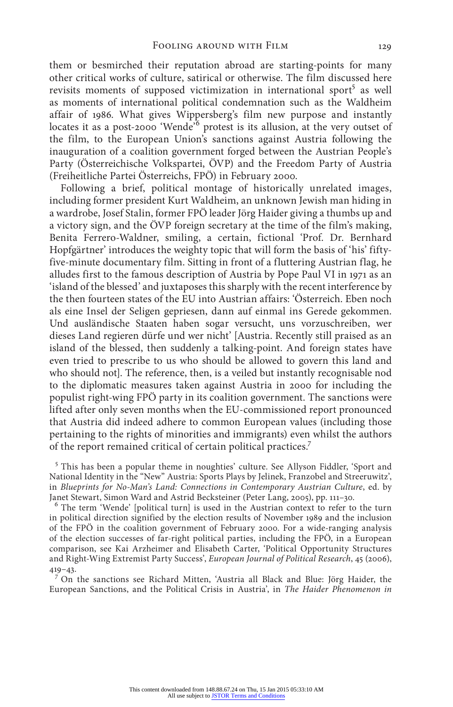them or besmirched their reputation abroad are starting-points for many other critical works of culture, satirical or otherwise. The film discussed here revisits moments of supposed victimization in international sport<sup>5</sup> as well as moments of international political condemnation such as the Waldheim affair of 1986. What gives Wippersberg's film new purpose and instantly locates it as a post-2000 'Wende<sup>76</sup> protest is its allusion, at the very outset of the film, to the European Union's sanctions against Austria following the inauguration of a coalition government forged between the Austrian People's Party (Österreichische Volkspartei, ÖVP) and the Freedom Party of Austria (Freiheitliche Partei Österreichs, FPÖ) in February 2000.

Following a brief, political montage of historically unrelated images, including former president Kurt Waldheim, an unknown Jewish man hiding in a wardrobe, Josef Stalin, former FPÖ leader Jörg Haider giving a thumbs up and a victory sign, and the ÖVP foreign secretary at the time of the film's making, Benita Ferrero-Waldner, smiling, a certain, fictional 'Prof. Dr. Bernhard Hopfgärtner' introduces the weighty topic that will form the basis of 'his' fiftyfive-minute documentary film. Sitting in front of a fluttering Austrian flag, he alludes first to the famous description of Austria by Pope Paul VI in 1971 as an 'island of the blessed' and juxtaposes this sharply with the recent interference by the then fourteen states of the EU into Austrian affairs: 'Österreich. Eben noch als eine Insel der Seligen gepriesen, dann auf einmal ins Gerede gekommen. Und ausländische Staaten haben sogar versucht, uns vorzuschreiben, wer dieses Land regieren dürfe und wer nicht' [Austria. Recently still praised as an island of the blessed, then suddenly a talking-point. And foreign states have even tried to prescribe to us who should be allowed to govern this land and who should not]. The reference, then, is a veiled but instantly recognisable nod to the diplomatic measures taken against Austria in 2000 for including the populist right-wing FPÖ party in its coalition government. The sanctions were lifted after only seven months when the EU-commissioned report pronounced that Austria did indeed adhere to common European values (including those pertaining to the rights of minorities and immigrants) even whilst the authors of the report remained critical of certain political practices.7

<sup>5</sup> This has been a popular theme in noughties' culture. See Allyson Fiddler, 'Sport and National Identity in the "New" Austria: Sports Plays by Jelinek, Franzobel and Streeruwitz', in *Blueprints for No-Man's Land: Connections in Contemporary Austrian Culture*, ed. by Janet Stewart, Simon Ward and Astrid Becksteiner (Peter Lang, 2005), pp. 111–30. <sup>6</sup> The term 'Wende' [political turn] is used in the Austrian context to refer to the turn

in political direction signified by the election results of November 1989 and the inclusion of the FPÖ in the coalition government of February 2000. For a wide-ranging analysis of the election successes of far-right political parties, including the FPÖ, in a European comparison, see Kai Arzheimer and Elisabeth Carter, 'Political Opportunity Structures and Right-Wing Extremist Party Success', *European Journal of Political Research*, 45 (2006), 419–43.

<sup>7</sup> On the sanctions see Richard Mitten, 'Austria all Black and Blue: Jörg Haider, the European Sanctions, and the Political Crisis in Austria', in *The Haider Phenomenon in*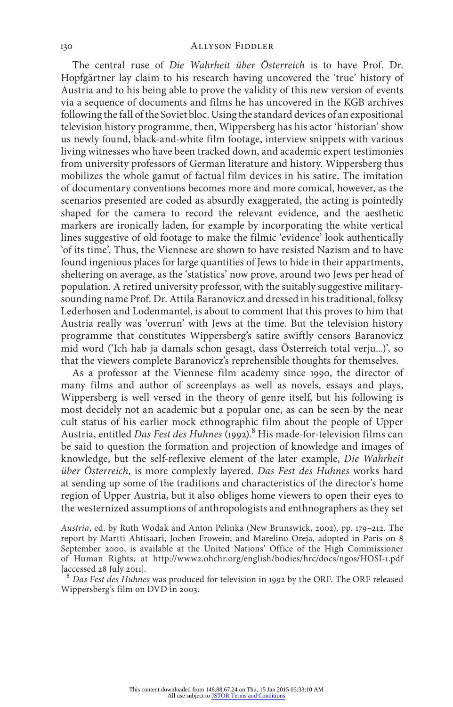The central ruse of *Die Wahrheit über Österreich* is to have Prof. Dr. Hopfgärtner lay claim to his research having uncovered the 'true' history of Austria and to his being able to prove the validity of this new version of events via a sequence of documents and films he has uncovered in the KGB archives following the fall of the Soviet bloc. Using the standard devices of an expositional television history programme, then, Wippersberg has his actor 'historian' show us newly found, black-and-white film footage, interview snippets with various living witnesses who have been tracked down, and academic expert testimonies from university professors of German literature and history. Wippersberg thus mobilizes the whole gamut of factual film devices in his satire. The imitation of documentary conventions becomes more and more comical, however, as the scenarios presented are coded as absurdly exaggerated, the acting is pointedly shaped for the camera to record the relevant evidence, and the aesthetic markers are ironically laden, for example by incorporating the white vertical lines suggestive of old footage to make the filmic 'evidence' look authentically 'of its time'. Thus, the Viennese are shown to have resisted Nazism and to have found ingenious places for large quantities of Jews to hide in their appartments, sheltering on average, as the 'statistics' now prove, around two Jews per head of population. A retired university professor, with the suitably suggestive militarysounding name Prof. Dr. Attila Baranovicz and dressed in his traditional, folksy Lederhosen and Lodenmantel, is about to comment that this proves to him that Austria really was 'overrun' with Jews at the time. But the television history programme that constitutes Wippersberg's satire swiftly censors Baranovicz mid word ('Ich hab ja damals schon gesagt, dass Österreich total verju...)', so that the viewers complete Baranovicz's reprehensible thoughts for themselves.

As a professor at the Viennese film academy since 1990, the director of many films and author of screenplays as well as novels, essays and plays, Wippersberg is well versed in the theory of genre itself, but his following is most decidely not an academic but a popular one, as can be seen by the near cult status of his earlier mock ethnographic film about the people of Upper Austria, entitled *Das Fest des Huhnes* (1992).<sup>8</sup> His made-for-television films can be said to question the formation and projection of knowledge and images of knowledge, but the self-reflexive element of the later example, *Die Wahrheit über Österreich*, is more complexly layered. *Das Fest des Huhnes* works hard at sending up some of the traditions and characteristics of the director's home region of Upper Austria, but it also obliges home viewers to open their eyes to the westernized assumptions of anthropologists and enthnographers as they set

*Austria*, ed. by Ruth Wodak and Anton Pelinka (New Brunswick, 2002), pp. 179–212. The report by Martti Ahtisaari, Jochen Frowein, and Marelino Oreja, adopted in Paris on 8 September 2000, is available at the United Nations' Office of the High Commissioner of Human Rights, at http://www2.ohchr.org/english/bodies/hrc/docs/ngos/HOSI-1.pdf [accessed 28 July 2011].

<sup>8</sup> *Das Fest des Huhnes* was produced for television in 1992 by the ORF. The ORF released Wippersberg's film on DVD in 2003.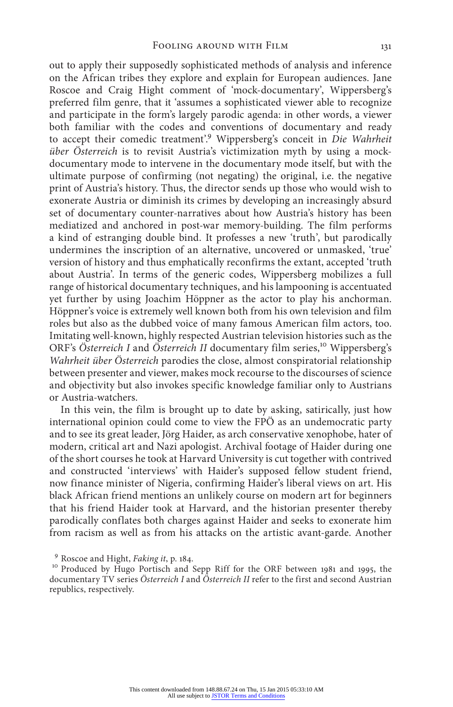out to apply their supposedly sophisticated methods of analysis and inference on the African tribes they explore and explain for European audiences. Jane Roscoe and Craig Hight comment of 'mock-documentary', Wippersberg's preferred film genre, that it 'assumes a sophisticated viewer able to recognize and participate in the form's largely parodic agenda: in other words, a viewer both familiar with the codes and conventions of documentary and ready to accept their comedic treatment'.9 Wippersberg's conceit in *Die Wahrheit über Österreich* is to revisit Austria's victimization myth by using a mockdocumentary mode to intervene in the documentary mode itself, but with the ultimate purpose of confirming (not negating) the original, i.e. the negative print of Austria's history. Thus, the director sends up those who would wish to exonerate Austria or diminish its crimes by developing an increasingly absurd set of documentary counter-narratives about how Austria's history has been mediatized and anchored in post-war memory-building. The film performs a kind of estranging double bind. It professes a new 'truth', but parodically undermines the inscription of an alternative, uncovered or unmasked, 'true' version of history and thus emphatically reconfirms the extant, accepted 'truth about Austria'. In terms of the generic codes, Wippersberg mobilizes a full range of historical documentary techniques, and his lampooning is accentuated yet further by using Joachim Höppner as the actor to play his anchorman. Höppner's voice is extremely well known both from his own television and film roles but also as the dubbed voice of many famous American film actors, too. Imitating well-known, highly respected Austrian television histories such as the ORF's Österreich I and Österreich II documentary film series,<sup>10</sup> Wippersberg's *Wahrheit über Österreich* parodies the close, almost conspiratorial relationship between presenter and viewer, makes mock recourse to the discourses of science and objectivity but also invokes specific knowledge familiar only to Austrians or Austria-watchers.

In this vein, the film is brought up to date by asking, satirically, just how international opinion could come to view the FPÖ as an undemocratic party and to see its great leader, Jörg Haider, as arch conservative xenophobe, hater of modern, critical art and Nazi apologist. Archival footage of Haider during one of the short courses he took at Harvard University is cut together with contrived and constructed 'interviews' with Haider's supposed fellow student friend, now finance minister of Nigeria, confirming Haider's liberal views on art. His black African friend mentions an unlikely course on modern art for beginners that his friend Haider took at Harvard, and the historian presenter thereby parodically conflates both charges against Haider and seeks to exonerate him from racism as well as from his attacks on the artistic avant-garde. Another

<sup>&</sup>lt;sup>9</sup> Roscoe and Hight, *Faking it*, p. 184.<br><sup>10</sup> Produced by Hugo Portisch and Sepp Riff for the ORF between 1981 and 1995, the documentary TV series *Österreich I* and *Österreich II* refer to the first and second Austrian republics, respectively.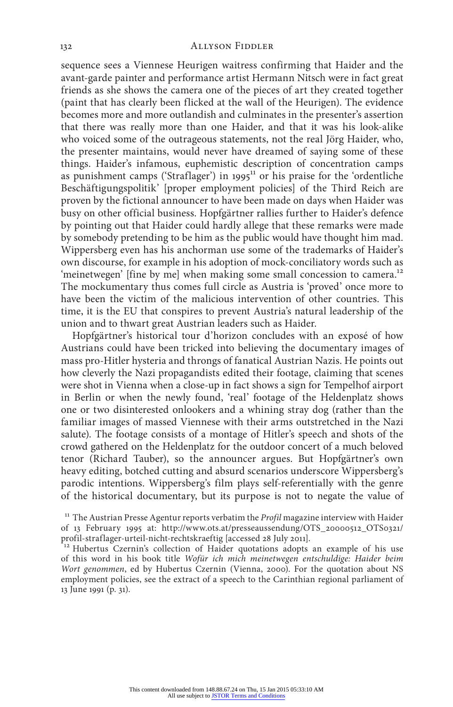#### 132 ALLYSON FIDDLER

sequence sees a Viennese Heurigen waitress confirming that Haider and the avant-garde painter and performance artist Hermann Nitsch were in fact great friends as she shows the camera one of the pieces of art they created together (paint that has clearly been flicked at the wall of the Heurigen). The evidence becomes more and more outlandish and culminates in the presenter's assertion that there was really more than one Haider, and that it was his look-alike who voiced some of the outrageous statements, not the real Jörg Haider, who, the presenter maintains, would never have dreamed of saying some of these things. Haider's infamous, euphemistic description of concentration camps as punishment camps ('Straflager') in 1995<sup>11</sup> or his praise for the 'ordentliche Beschäftigungspolitik' [proper employment policies] of the Third Reich are proven by the fictional announcer to have been made on days when Haider was busy on other official business. Hopfgärtner rallies further to Haider's defence by pointing out that Haider could hardly allege that these remarks were made by somebody pretending to be him as the public would have thought him mad. Wippersberg even has his anchorman use some of the trademarks of Haider's own discourse, for example in his adoption of mock-conciliatory words such as 'meinetwegen' [fine by me] when making some small concession to camera.<sup>12</sup> The mockumentary thus comes full circle as Austria is 'proved' once more to have been the victim of the malicious intervention of other countries. This time, it is the EU that conspires to prevent Austria's natural leadership of the union and to thwart great Austrian leaders such as Haider.

Hopfgärtner's historical tour d'horizon concludes with an exposé of how Austrians could have been tricked into believing the documentary images of mass pro-Hitler hysteria and throngs of fanatical Austrian Nazis. He points out how cleverly the Nazi propagandists edited their footage, claiming that scenes were shot in Vienna when a close-up in fact shows a sign for Tempelhof airport in Berlin or when the newly found, 'real' footage of the Heldenplatz shows one or two disinterested onlookers and a whining stray dog (rather than the familiar images of massed Viennese with their arms outstretched in the Nazi salute). The footage consists of a montage of Hitler's speech and shots of the crowd gathered on the Heldenplatz for the outdoor concert of a much beloved tenor (Richard Tauber), so the announcer argues. But Hopfgärtner's own heavy editing, botched cutting and absurd scenarios underscore Wippersberg's parodic intentions. Wippersberg's film plays self-referentially with the genre of the historical documentary, but its purpose is not to negate the value of

<sup>&</sup>lt;sup>11</sup> The Austrian Presse Agentur reports verbatim the *Profil* magazine interview with Haider of 13 February 1995 at: http://www.ots.at/presseaussendung/OTS\_20000512\_OTS0321/ profil-straflager-urteil-nicht-rechtskraeftig [accessed 28 July 2011].

 $12$  Hubertus Czernin's collection of Haider quotations adopts an example of his use of this word in his book title *Wofür ich mich meinetwegen entschuldige: Haider beim Wort genommen*, ed by Hubertus Czernin (Vienna, 2000). For the quotation about NS employment policies, see the extract of a speech to the Carinthian regional parliament of 13 June 1991 (p. 31).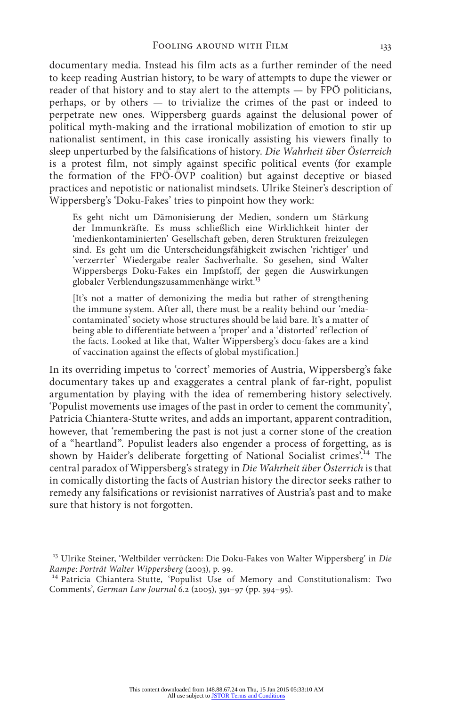documentary media. Instead his film acts as a further reminder of the need to keep reading Austrian history, to be wary of attempts to dupe the viewer or reader of that history and to stay alert to the attempts — by FPÖ politicians, perhaps, or by others — to trivialize the crimes of the past or indeed to perpetrate new ones. Wippersberg guards against the delusional power of political myth-making and the irrational mobilization of emotion to stir up nationalist sentiment, in this case ironically assisting his viewers finally to sleep unperturbed by the falsifications of history. *Die Wahrheit über Österreich* is a protest film, not simply against specific political events (for example the formation of the FPÖ-ÖVP coalition) but against deceptive or biased practices and nepotistic or nationalist mindsets. Ulrike Steiner's description of Wippersberg's 'Doku-Fakes' tries to pinpoint how they work:

Es geht nicht um Dämonisierung der Medien, sondern um Stärkung der Immunkräfte. Es muss schließlich eine Wirklichkeit hinter der 'medienkontaminierten' Gesellschaft geben, deren Strukturen freizulegen sind. Es geht um die Unterscheidungsfähigkeit zwischen 'richtiger' und 'verzerrter' Wiedergabe realer Sachverhalte. So gesehen, sind Walter Wippersbergs Doku-Fakes ein Impfstoff, der gegen die Auswirkungen globaler Verblendungszusammenhänge wirkt.<sup>13</sup>

[It's not a matter of demonizing the media but rather of strengthening the immune system. After all, there must be a reality behind our 'mediacontaminated' society whose structures should be laid bare. It's a matter of being able to differentiate between a 'proper' and a 'distorted' reflection of the facts. Looked at like that, Walter Wippersberg's docu-fakes are a kind of vaccination against the effects of global mystification.]

In its overriding impetus to 'correct' memories of Austria, Wippersberg's fake documentary takes up and exaggerates a central plank of far-right, populist argumentation by playing with the idea of remembering history selectively. 'Populist movements use images of the past in order to cement the community', Patricia Chiantera-Stutte writes, and adds an important, apparent contradition, however, that 'remembering the past is not just a corner stone of the creation of a "heartland". Populist leaders also engender a process of forgetting, as is shown by Haider's deliberate forgetting of National Socialist crimes'.14 The central paradox of Wippersberg's strategy in *Die Wahrheit über Österrich* is that in comically distorting the facts of Austrian history the director seeks rather to remedy any falsifications or revisionist narratives of Austria's past and to make sure that history is not forgotten.

<sup>13</sup> Ulrike Steiner, 'Weltbilder verrücken: Die Doku-Fakes von Walter Wippersberg' in *Die* 

<sup>&</sup>lt;sup>14</sup> Patricia Chiantera-Stutte, 'Populist Use of Memory and Constitutionalism: Two Comments', *German Law Journal* 6.2 (2005), 391–97 (pp. 394–95).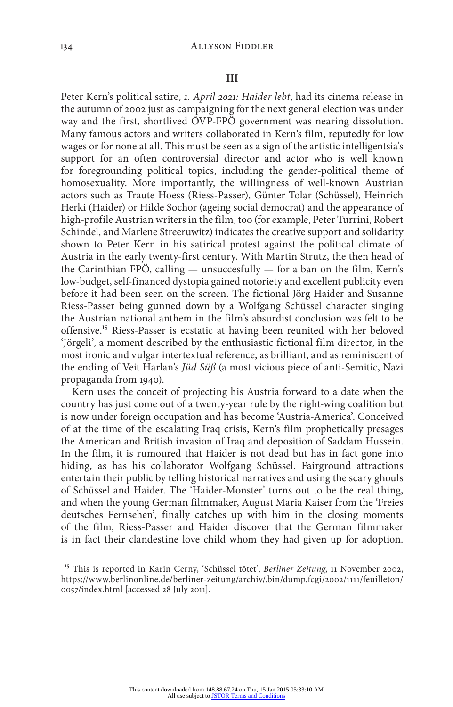#### **III**

Peter Kern's political satire, *1. April 2021: Haider lebt*, had its cinema release in the autumn of 2002 just as campaigning for the next general election was under way and the first, shortlived ÖVP-FPÖ government was nearing dissolution. Many famous actors and writers collaborated in Kern's film, reputedly for low wages or for none at all. This must be seen as a sign of the artistic intelligentsia's support for an often controversial director and actor who is well known for foregrounding political topics, including the gender-political theme of homosexuality. More importantly, the willingness of well-known Austrian actors such as Traute Hoess (Riess-Passer), Günter Tolar (Schüssel), Heinrich Herki (Haider) or Hilde Sochor (ageing social democrat) and the appearance of high-profile Austrian writers in the film, too (for example, Peter Turrini, Robert Schindel, and Marlene Streeruwitz) indicates the creative support and solidarity shown to Peter Kern in his satirical protest against the political climate of Austria in the early twenty-first century. With Martin Strutz, the then head of the Carinthian FPÖ, calling — unsuccesfully — for a ban on the film, Kern's low-budget, self-financed dystopia gained notoriety and excellent publicity even before it had been seen on the screen. The fictional Jörg Haider and Susanne Riess-Passer being gunned down by a Wolfgang Schüssel character singing the Austrian national anthem in the film's absurdist conclusion was felt to be offensive.15 Riess-Passer is ecstatic at having been reunited with her beloved 'Jörgeli', a moment described by the enthusiastic fictional film director, in the most ironic and vulgar intertextual reference, as brilliant, and as reminiscent of the ending of Veit Harlan's *Jüd Süß* (a most vicious piece of anti-Semitic, Nazi propaganda from 1940).

Kern uses the conceit of projecting his Austria forward to a date when the country has just come out of a twenty-year rule by the right-wing coalition but is now under foreign occupation and has become 'Austria-America'. Conceived of at the time of the escalating Iraq crisis, Kern's film prophetically presages the American and British invasion of Iraq and deposition of Saddam Hussein. In the film, it is rumoured that Haider is not dead but has in fact gone into hiding, as has his collaborator Wolfgang Schüssel. Fairground attractions entertain their public by telling historical narratives and using the scary ghouls of Schüssel and Haider. The 'Haider-Monster' turns out to be the real thing, and when the young German filmmaker, August Maria Kaiser from the 'Freies deutsches Fernsehen', finally catches up with him in the closing moments of the film, Riess-Passer and Haider discover that the German filmmaker is in fact their clandestine love child whom they had given up for adoption.

<sup>15</sup> This is reported in Karin Cerny, 'Schüssel tötet', *Berliner Zeitung*, 11 November 2002, https://www.berlinonline.de/berliner-zeitung/archiv/.bin/dump.fcgi/2002/1111/feuilleton/ 0057/index.html [accessed 28 July 2011].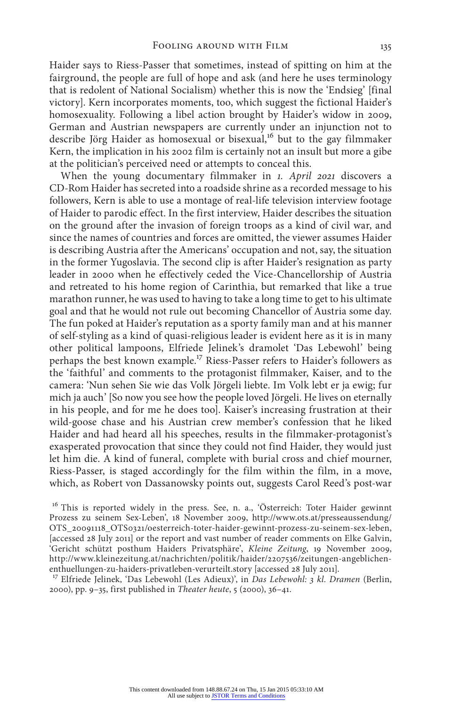Haider says to Riess-Passer that sometimes, instead of spitting on him at the fairground, the people are full of hope and ask (and here he uses terminology that is redolent of National Socialism) whether this is now the 'Endsieg' [final victory]. Kern incorporates moments, too, which suggest the fictional Haider's homosexuality. Following a libel action brought by Haider's widow in 2009, German and Austrian newspapers are currently under an injunction not to describe Jörg Haider as homosexual or bisexual,<sup>16</sup> but to the gay filmmaker Kern, the implication in his 2002 film is certainly not an insult but more a gibe

at the politician's perceived need or attempts to conceal this. When the young documentary filmmaker in *1. April 2021* discovers a CD-Rom Haider has secreted into a roadside shrine as a recorded message to his followers, Kern is able to use a montage of real-life television interview footage of Haider to parodic effect. In the first interview, Haider describes the situation on the ground after the invasion of foreign troops as a kind of civil war, and since the names of countries and forces are omitted, the viewer assumes Haider is describing Austria after the Americans' occupation and not, say, the situation in the former Yugoslavia. The second clip is after Haider's resignation as party leader in 2000 when he effectively ceded the Vice-Chancellorship of Austria and retreated to his home region of Carinthia, but remarked that like a true marathon runner, he was used to having to take a long time to get to his ultimate goal and that he would not rule out becoming Chancellor of Austria some day. The fun poked at Haider's reputation as a sporty family man and at his manner of self-styling as a kind of quasi-religious leader is evident here as it is in many other political lampoons, Elfriede Jelinek's dramolet 'Das Lebewohl' being perhaps the best known example.17 Riess-Passer refers to Haider's followers as the 'faithful' and comments to the protagonist filmmaker, Kaiser, and to the camera: 'Nun sehen Sie wie das Volk Jörgeli liebte. Im Volk lebt er ja ewig; fur mich ja auch' [So now you see how the people loved Jörgeli. He lives on eternally in his people, and for me he does too]. Kaiser's increasing frustration at their wild-goose chase and his Austrian crew member's confession that he liked Haider and had heard all his speeches, results in the filmmaker-protagonist's exasperated provocation that since they could not find Haider, they would just let him die. A kind of funeral, complete with burial cross and chief mourner, Riess-Passer, is staged accordingly for the film within the film, in a move, which, as Robert von Dassanowsky points out, suggests Carol Reed's post-war

<sup>16</sup> This is reported widely in the press. See, n. a., 'Österreich: Toter Haider gewinnt Prozess zu seinem Sex-Leben', 18 November 2009, http://www.ots.at/presseaussendung/ OTS\_20091118\_OTS0321/oesterreich-toter-haider-gewinnt-prozess-zu-seinem-sex-leben, [accessed 28 July 2011] or the report and vast number of reader comments on Elke Galvin, 'Gericht schützt posthum Haiders Privatsphäre', *Kleine Zeitung*, 19 November 2009, http://www.kleinezeitung.at/nachrichten/politik/haider/2207536/zeitungen-angeblichenenthuellungen-zu-haiders-privatleben-verurteilt.story [accessed 28 July 2011].

<sup>17</sup> Elfriede Jelinek, 'Das Lebewohl (Les Adieux)', in *Das Lebewohl: 3 kl. Dramen* (Berlin, 2000), pp. 9–35, first published in *Theater heute*, 5 (2000), 36–41.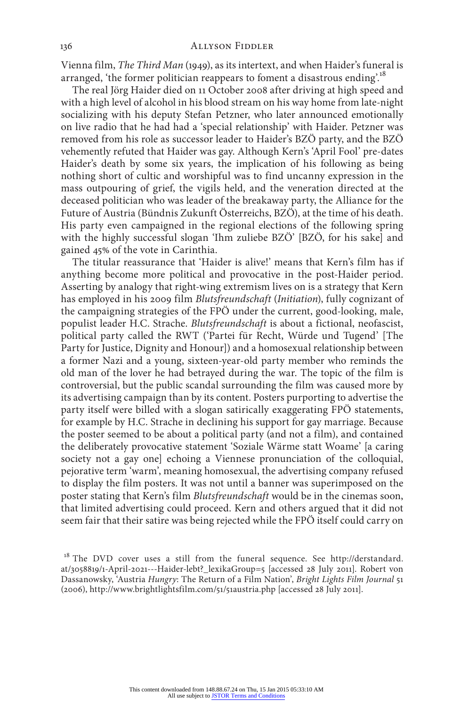Vienna film, *The Third Man* (1949), as its intertext, and when Haider's funeral is arranged, 'the former politician reappears to foment a disastrous ending.<sup>18</sup>

The real Jörg Haider died on 11 October 2008 after driving at high speed and with a high level of alcohol in his blood stream on his way home from late-night socializing with his deputy Stefan Petzner, who later announced emotionally on live radio that he had had a 'special relationship' with Haider. Petzner was removed from his role as successor leader to Haider's BZÖ party, and the BZÖ vehemently refuted that Haider was gay. Although Kern's 'April Fool' pre-dates Haider's death by some six years, the implication of his following as being nothing short of cultic and worshipful was to find uncanny expression in the mass outpouring of grief, the vigils held, and the veneration directed at the deceased politician who was leader of the breakaway party, the Alliance for the Future of Austria (Bündnis Zukunft Österreichs, BZÖ), at the time of his death. His party even campaigned in the regional elections of the following spring with the highly successful slogan 'Ihm zuliebe BZÖ' [BZÖ, for his sake] and gained 45% of the vote in Carinthia.

The titular reassurance that 'Haider is alive!' means that Kern's film has if anything become more political and provocative in the post-Haider period. Asserting by analogy that right-wing extremism lives on is a strategy that Kern has employed in his 2009 film *Blutsfreundschaft* (*Initiation*), fully cognizant of the campaigning strategies of the FPÖ under the current, good-looking, male, populist leader H.C. Strache. *Blutsfreundschaft* is about a fictional, neofascist, political party called the RWT ('Partei für Recht, Würde und Tugend' [The Party for Justice, Dignity and Honour]) and a homosexual relationship between a former Nazi and a young, sixteen-year-old party member who reminds the old man of the lover he had betrayed during the war. The topic of the film is controversial, but the public scandal surrounding the film was caused more by its advertising campaign than by its content. Posters purporting to advertise the party itself were billed with a slogan satirically exaggerating FPÖ statements, for example by H.C. Strache in declining his support for gay marriage. Because the poster seemed to be about a political party (and not a film), and contained the deliberately provocative statement 'Soziale Wärme statt Woame' [a caring society not a gay one] echoing a Viennese pronunciation of the colloquial, pejorative term 'warm', meaning homosexual, the advertising company refused to display the film posters. It was not until a banner was superimposed on the poster stating that Kern's film *Blutsfreundschaft* would be in the cinemas soon, that limited advertising could proceed. Kern and others argued that it did not seem fair that their satire was being rejected while the FPÖ itself could carry on

<sup>&</sup>lt;sup>18</sup> The DVD cover uses a still from the funeral sequence. See http://derstandard. at/3058819/1-April-2021---Haider-lebt?\_lexikaGroup=5 [accessed 28 July 2011]. Robert von Dassanowsky, 'Austria *Hungry*: The Return of a Film Nation', *Bright Lights Film Journal* 51 (2006), http://www.brightlightsfilm.com/51/51austria.php [accessed 28 July 2011].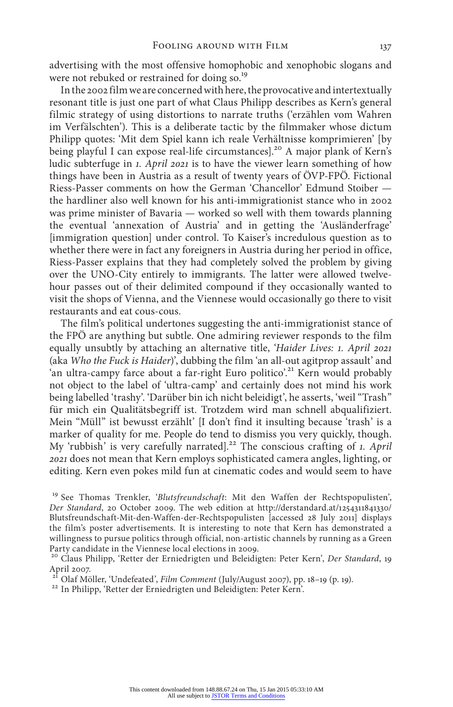advertising with the most offensive homophobic and xenophobic slogans and were not rebuked or restrained for doing so.<sup>19</sup>

In the 2002 film we are concerned with here, the provocative and intertextually resonant title is just one part of what Claus Philipp describes as Kern's general filmic strategy of using distortions to narrate truths ('erzählen vom Wahren im Verfälschten'). This is a deliberate tactic by the filmmaker whose dictum Philipp quotes: 'Mit dem Spiel kann ich reale Verhältnisse komprimieren' [by being playful I can expose real-life circumstances].<sup>20</sup> A major plank of Kern's ludic subterfuge in *1. April 2021* is to have the viewer learn something of how things have been in Austria as a result of twenty years of ÖVP-FPÖ. Fictional Riess-Passer comments on how the German 'Chancellor' Edmund Stoiber the hardliner also well known for his anti-immigrationist stance who in 2002 was prime minister of Bavaria — worked so well with them towards planning the eventual 'annexation of Austria' and in getting the 'Ausländerfrage' [immigration question] under control. To Kaiser's incredulous question as to whether there were in fact any foreigners in Austria during her period in office, Riess-Passer explains that they had completely solved the problem by giving over the UNO-City entirely to immigrants. The latter were allowed twelvehour passes out of their delimited compound if they occasionally wanted to visit the shops of Vienna, and the Viennese would occasionally go there to visit restaurants and eat cous-cous.

The film's political undertones suggesting the anti-immigrationist stance of the FPÖ are anything but subtle. One admiring reviewer responds to the film equally unsubtly by attaching an alternative title, '*Haider Lives: 1. April 2021* (aka *Who the Fuck is Haider*)', dubbing the film 'an all-out agitprop assault' and 'an ultra-campy farce about a far-right Euro politico'.<sup>21</sup> Kern would probably not object to the label of 'ultra-camp' and certainly does not mind his work being labelled 'trashy'. 'Darüber bin ich nicht beleidigt', he asserts, 'weil "Trash" für mich ein Qualitätsbegriff ist. Trotzdem wird man schnell abqualifiziert. Mein "Müll" ist bewusst erzählt' [I don't find it insulting because 'trash' is a marker of quality for me. People do tend to dismiss you very quickly, though. My 'rubbish' is very carefully narrated].22 The conscious crafting of *1. April 2021* does not mean that Kern employs sophisticated camera angles, lighting, or editing. Kern even pokes mild fun at cinematic codes and would seem to have

<sup>19</sup> See Thomas Trenkler, '*Blutsfreundschaft*: Mit den Waffen der Rechtspopulisten', *Der Standard*, 20 October 2009. The web edition at http://derstandard.at/1254311841330/ Blutsfreundschaft-Mit-den-Waffen-der-Rechtspopulisten [accessed 28 July 2011] displays the film's poster advertisements. It is interesting to note that Kern has demonstrated a willingness to pursue politics through official, non-artistic channels by running as a Green Party candidate in the Viennese local elections in 2009.

<sup>20</sup> Claus Philipp, 'Retter der Erniedrigten und Beleidigten: Peter Kern', *Der Standard*, 19 April 2007.<br><sup>21</sup> Olaf Möller, 'Undefeated', Film Comment (July/August 2007), pp. 18-19 (p. 19).

<sup>22</sup> In Philipp, 'Retter der Erniedrigten und Beleidigten: Peter Kern'.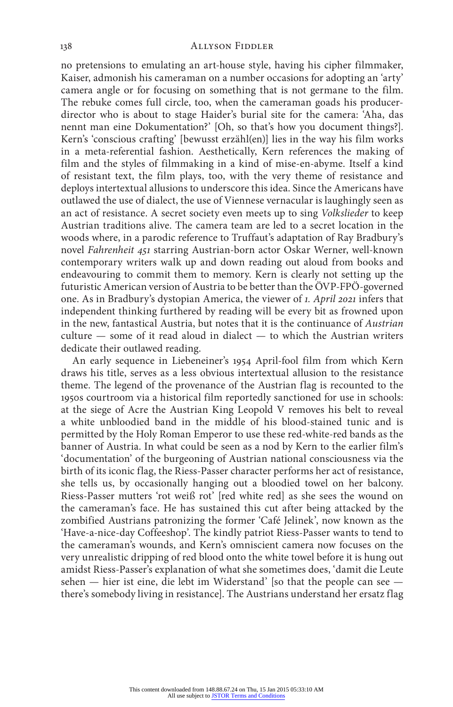#### 138 ALLYSON FIDDLER

no pretensions to emulating an art-house style, having his cipher filmmaker, Kaiser, admonish his cameraman on a number occasions for adopting an 'arty' camera angle or for focusing on something that is not germane to the film. The rebuke comes full circle, too, when the cameraman goads his producerdirector who is about to stage Haider's burial site for the camera: 'Aha, das nennt man eine Dokumentation?' [Oh, so that's how you document things?]. Kern's 'conscious crafting' [bewusst erzähl(en)] lies in the way his film works in a meta-referential fashion. Aesthetically, Kern references the making of film and the styles of filmmaking in a kind of mise-en-abyme. Itself a kind of resistant text, the film plays, too, with the very theme of resistance and deploys intertextual allusions to underscore this idea. Since the Americans have outlawed the use of dialect, the use of Viennese vernacular is laughingly seen as an act of resistance. A secret society even meets up to sing *Volkslieder* to keep Austrian traditions alive. The camera team are led to a secret location in the woods where, in a parodic reference to Truffaut's adaptation of Ray Bradbury's novel *Fahrenheit 451* starring Austrian-born actor Oskar Werner, well-known contemporary writers walk up and down reading out aloud from books and endeavouring to commit them to memory. Kern is clearly not setting up the futuristic American version of Austria to be better than the ÖVP-FPÖ-governed one. As in Bradbury's dystopian America, the viewer of *1. April 2021* infers that independent thinking furthered by reading will be every bit as frowned upon in the new, fantastical Austria, but notes that it is the continuance of *Austrian* culture — some of it read aloud in dialect — to which the Austrian writers dedicate their outlawed reading.

An early sequence in Liebeneiner's 1954 April-fool film from which Kern draws his title, serves as a less obvious intertextual allusion to the resistance theme. The legend of the provenance of the Austrian flag is recounted to the 1950s courtroom via a historical film reportedly sanctioned for use in schools: at the siege of Acre the Austrian King Leopold V removes his belt to reveal a white unbloodied band in the middle of his blood-stained tunic and is permitted by the Holy Roman Emperor to use these red-white-red bands as the banner of Austria. In what could be seen as a nod by Kern to the earlier film's 'documentation' of the burgeoning of Austrian national consciousness via the birth of its iconic flag, the Riess-Passer character performs her act of resistance, she tells us, by occasionally hanging out a bloodied towel on her balcony. Riess-Passer mutters 'rot weiß rot' [red white red] as she sees the wound on the cameraman's face. He has sustained this cut after being attacked by the zombified Austrians patronizing the former 'Café Jelinek', now known as the 'Have-a-nice-day Coffeeshop'. The kindly patriot Riess-Passer wants to tend to the cameraman's wounds, and Kern's omniscient camera now focuses on the very unrealistic dripping of red blood onto the white towel before it is hung out amidst Riess-Passer's explanation of what she sometimes does, 'damit die Leute sehen — hier ist eine, die lebt im Widerstand' [so that the people can see there's somebody living in resistance]. The Austrians understand her ersatz flag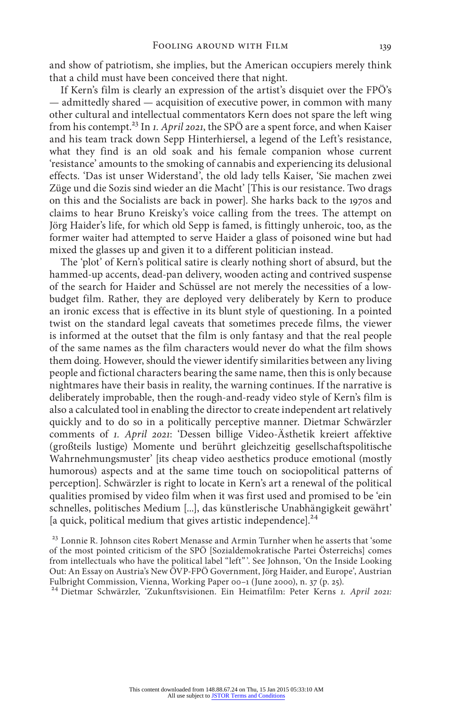and show of patriotism, she implies, but the American occupiers merely think that a child must have been conceived there that night.

If Kern's film is clearly an expression of the artist's disquiet over the FPÖ's — admittedly shared — acquisition of executive power, in common with many other cultural and intellectual commentators Kern does not spare the left wing from his contempt.23 In *1. April 2021*, the SPÖ are a spent force, and when Kaiser and his team track down Sepp Hinterhiersel, a legend of the Left's resistance, what they find is an old soak and his female companion whose current 'resistance' amounts to the smoking of cannabis and experiencing its delusional effects. 'Das ist unser Widerstand', the old lady tells Kaiser, 'Sie machen zwei Züge und die Sozis sind wieder an die Macht' [This is our resistance. Two drags on this and the Socialists are back in power]. She harks back to the 1970s and claims to hear Bruno Kreisky's voice calling from the trees. The attempt on Jörg Haider's life, for which old Sepp is famed, is fittingly unheroic, too, as the former waiter had attempted to serve Haider a glass of poisoned wine but had mixed the glasses up and given it to a different politician instead.

The 'plot' of Kern's political satire is clearly nothing short of absurd, but the hammed-up accents, dead-pan delivery, wooden acting and contrived suspense of the search for Haider and Schüssel are not merely the necessities of a lowbudget film. Rather, they are deployed very deliberately by Kern to produce an ironic excess that is effective in its blunt style of questioning. In a pointed twist on the standard legal caveats that sometimes precede films, the viewer is informed at the outset that the film is only fantasy and that the real people of the same names as the film characters would never do what the film shows them doing. However, should the viewer identify similarities between any living people and fictional characters bearing the same name, then this is only because nightmares have their basis in reality, the warning continues. If the narrative is deliberately improbable, then the rough-and-ready video style of Kern's film is also a calculated tool in enabling the director to create independent art relatively quickly and to do so in a politically perceptive manner. Dietmar Schwärzler comments of *1. April 2021*: 'Dessen billige Video-Ästhetik kreiert affektive (großteils lustige) Momente und berührt gleichzeitig gesellschaftspolitische Wahrnehmungsmuster' [its cheap video aesthetics produce emotional (mostly humorous) aspects and at the same time touch on sociopolitical patterns of perception]. Schwärzler is right to locate in Kern's art a renewal of the political qualities promised by video film when it was first used and promised to be 'ein schnelles, politisches Medium [...], das künstlerische Unabhängigkeit gewährt'  $\alpha$  quick, political medium that gives artistic independence].<sup>24</sup>

<sup>23</sup> Lonnie R. Johnson cites Robert Menasse and Armin Turnher when he asserts that 'some of the most pointed criticism of the SPÖ [Sozialdemokratische Partei Österreichs] comes from intellectuals who have the political label "left"'. See Johnson, 'On the Inside Looking Out: An Essay on Austria's New ÖVP-FPÖ Government, Jörg Haider, and Europe', Austrian Fulbright Commission, Vienna, Working Paper 00–1 (June 2000), n. 37 (p. 25).

<sup>24</sup> Dietmar Schwärzler, 'Zukunftsvisionen. Ein Heimatfilm: Peter Kerns *1. April 2021:*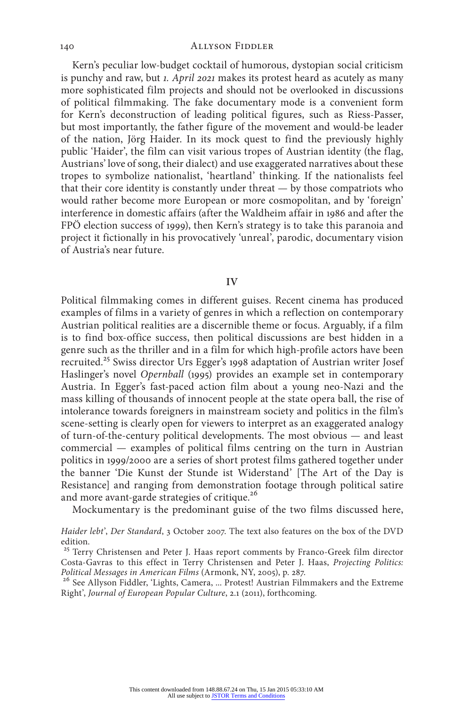Kern's peculiar low-budget cocktail of humorous, dystopian social criticism is punchy and raw, but *1. April 2021* makes its protest heard as acutely as many more sophisticated film projects and should not be overlooked in discussions of political filmmaking. The fake documentary mode is a convenient form for Kern's deconstruction of leading political figures, such as Riess-Passer, but most importantly, the father figure of the movement and would-be leader of the nation, Jörg Haider. In its mock quest to find the previously highly public 'Haider', the film can visit various tropes of Austrian identity (the flag, Austrians' love of song, their dialect) and use exaggerated narratives about these tropes to symbolize nationalist, 'heartland' thinking. If the nationalists feel that their core identity is constantly under threat — by those compatriots who would rather become more European or more cosmopolitan, and by 'foreign' interference in domestic affairs (after the Waldheim affair in 1986 and after the FPÖ election success of 1999), then Kern's strategy is to take this paranoia and project it fictionally in his provocatively 'unreal', parodic, documentary vision of Austria's near future.

#### **IV**

Political filmmaking comes in different guises. Recent cinema has produced examples of films in a variety of genres in which a reflection on contemporary Austrian political realities are a discernible theme or focus. Arguably, if a film is to find box-office success, then political discussions are best hidden in a genre such as the thriller and in a film for which high-profile actors have been recruited.<sup>25</sup> Swiss director Urs Egger's 1998 adaptation of Austrian writer Josef Haslinger's novel *Opernball* (1995) provides an example set in contemporary Austria. In Egger's fast-paced action film about a young neo-Nazi and the mass killing of thousands of innocent people at the state opera ball, the rise of intolerance towards foreigners in mainstream society and politics in the film's scene-setting is clearly open for viewers to interpret as an exaggerated analogy of turn-of-the-century political developments. The most obvious — and least commercial — examples of political films centring on the turn in Austrian politics in 1999/2000 are a series of short protest films gathered together under the banner 'Die Kunst der Stunde ist Widerstand' [The Art of the Day is Resistance] and ranging from demonstration footage through political satire and more avant-garde strategies of critique.26

Mockumentary is the predominant guise of the two films discussed here,

*Haider lebt*', *Der Standard*, 3 October 2007. The text also features on the box of the DVD edition.

<sup>25</sup> Terry Christensen and Peter J. Haas report comments by Franco-Greek film director Costa-Gavras to this effect in Terry Christensen and Peter J. Haas, *Projecting Politics: Political Messages in American Films* (Armonk, NY, 2005), p. 287.<br><sup>26</sup> See Allyson Fiddler, 'Lights, Camera, ... Protest! Austrian Filmmakers and the Extreme

Right', *Journal of European Popular Culture*, 2.1 (2011), forthcoming.